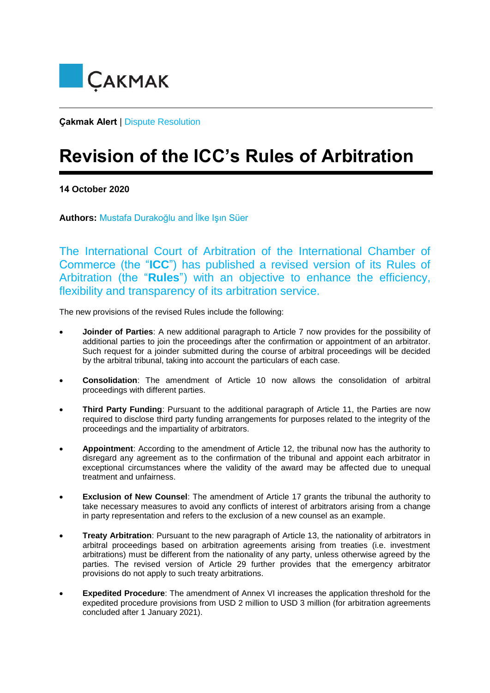

**Çakmak Alert** | Dispute Resolution

## **Revision of the ICC's Rules of Arbitration**

**14 October 2020** 

**Authors:** Mustafa Durakoğlu and İlke Işın Süer

The International Court of Arbitration of the International Chamber of Commerce (the "**ICC**") has published a revised version of its Rules of Arbitration (the "**Rules**") with an objective to enhance the efficiency, flexibility and transparency of its arbitration service.

The new provisions of the revised Rules include the following:

- **Joinder of Parties**: A new additional paragraph to Article 7 now provides for the possibility of additional parties to join the proceedings after the confirmation or appointment of an arbitrator. Such request for a joinder submitted during the course of arbitral proceedings will be decided by the arbitral tribunal, taking into account the particulars of each case.
- **Consolidation**: The amendment of Article 10 now allows the consolidation of arbitral proceedings with different parties.
- **Third Party Funding**: Pursuant to the additional paragraph of Article 11, the Parties are now required to disclose third party funding arrangements for purposes related to the integrity of the proceedings and the impartiality of arbitrators.
- **Appointment**: According to the amendment of Article 12, the tribunal now has the authority to disregard any agreement as to the confirmation of the tribunal and appoint each arbitrator in exceptional circumstances where the validity of the award may be affected due to unequal treatment and unfairness.
- **Exclusion of New Counsel**: The amendment of Article 17 grants the tribunal the authority to take necessary measures to avoid any conflicts of interest of arbitrators arising from a change in party representation and refers to the exclusion of a new counsel as an example.
- **Treaty Arbitration**: Pursuant to the new paragraph of Article 13, the nationality of arbitrators in arbitral proceedings based on arbitration agreements arising from treaties (i.e. investment arbitrations) must be different from the nationality of any party, unless otherwise agreed by the parties. The revised version of Article 29 further provides that the emergency arbitrator provisions do not apply to such treaty arbitrations.
- **Expedited Procedure**: The amendment of Annex VI increases the application threshold for the expedited procedure provisions from USD 2 million to USD 3 million (for arbitration agreements concluded after 1 January 2021).